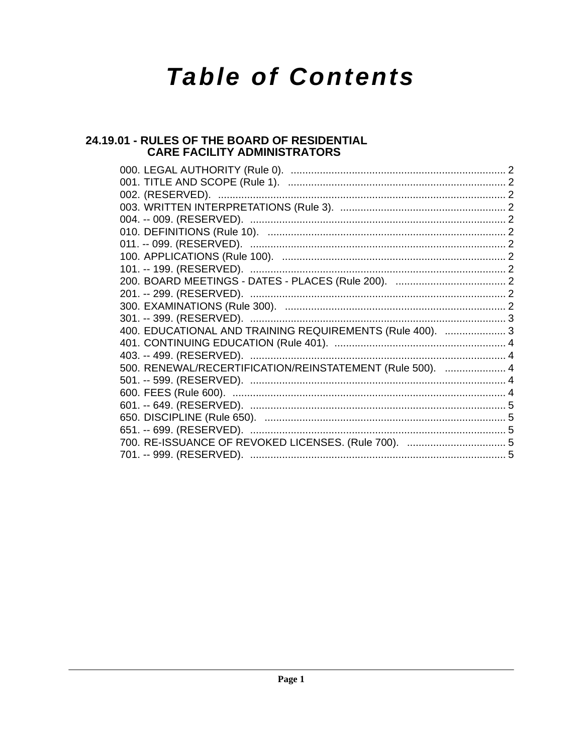# **Table of Contents**

# 24.19.01 - RULES OF THE BOARD OF RESIDENTIAL **CARE FACILITY ADMINISTRATORS**

| 400. EDUCATIONAL AND TRAINING REQUIREMENTS (Rule 400).  3 |  |
|-----------------------------------------------------------|--|
|                                                           |  |
|                                                           |  |
| 500. RENEWAL/RECERTIFICATION/REINSTATEMENT (Rule 500).  4 |  |
|                                                           |  |
|                                                           |  |
|                                                           |  |
|                                                           |  |
|                                                           |  |
|                                                           |  |
|                                                           |  |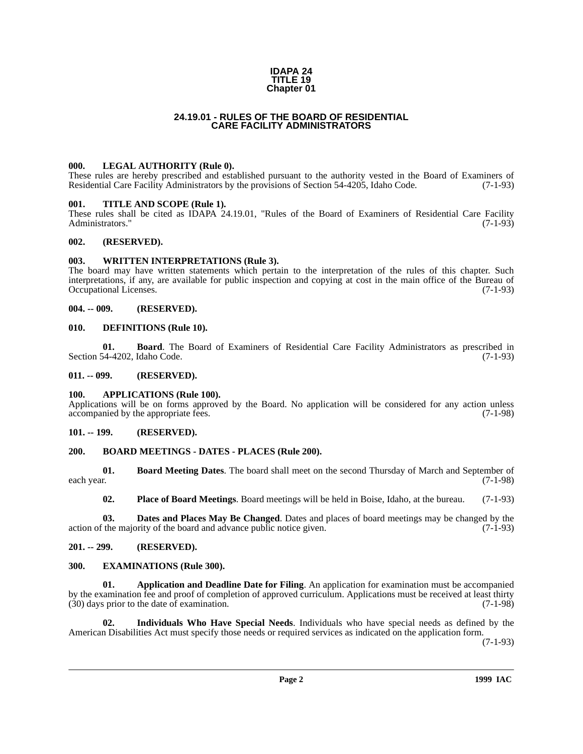### **IDAPA 24 TITLE 19 Chapter 01**

# **24.19.01 - RULES OF THE BOARD OF RESIDENTIAL CARE FACILITY ADMINISTRATORS**

# <span id="page-1-1"></span><span id="page-1-0"></span>**000. LEGAL AUTHORITY (Rule 0).**

These rules are hereby prescribed and established pursuant to the authority vested in the Board of Examiners of Residential Care Facility Administrators by the provisions of Section 54-4205, Idaho Code. (7-1-93)

### <span id="page-1-2"></span>**001. TITLE AND SCOPE (Rule 1).**

These rules shall be cited as IDAPA 24.19.01, "Rules of the Board of Examiners of Residential Care Facility Administrators." (7-1-93)

# <span id="page-1-3"></span>**002. (RESERVED).**

### <span id="page-1-4"></span>**003. WRITTEN INTERPRETATIONS (Rule 3).**

The board may have written statements which pertain to the interpretation of the rules of this chapter. Such interpretations, if any, are available for public inspection and copying at cost in the main office of the Bureau of Occupational Licenses.

### <span id="page-1-5"></span>**004. -- 009. (RESERVED).**

### <span id="page-1-6"></span>**010. DEFINITIONS (Rule 10).**

**01. Board**. The Board of Examiners of Residential Care Facility Administrators as prescribed in (7-1-93) (7-1-93) Section 54-4202, Idaho Code.

### <span id="page-1-7"></span>**011. -- 099. (RESERVED).**

### <span id="page-1-8"></span>**100. APPLICATIONS (Rule 100).**

Applications will be on forms approved by the Board. No application will be considered for any action unless accompanied by the appropriate fees. (7-1-98)

### <span id="page-1-9"></span>**101. -- 199. (RESERVED).**

### <span id="page-1-10"></span>**200. BOARD MEETINGS - DATES - PLACES (Rule 200).**

**01. Board Meeting Dates**. The board shall meet on the second Thursday of March and September of each year. (7-1-98) each year. (7-1-98)

**02. Place of Board Meetings**. Board meetings will be held in Boise, Idaho, at the bureau. (7-1-93)

**03. Dates and Places May Be Changed**. Dates and places of board meetings may be changed by the interval in the majority of the board and advance public notice given. (7-1-93) action of the majority of the board and advance public notice given.

# <span id="page-1-11"></span>**201. -- 299. (RESERVED).**

### <span id="page-1-12"></span>**300. EXAMINATIONS (Rule 300).**

**01. Application and Deadline Date for Filing**. An application for examination must be accompanied by the examination fee and proof of completion of approved curriculum. Applications must be received at least thirty (30) days prior to the date of examination. (7-1-98)  $(30)$  days prior to the date of examination.

**02. Individuals Who Have Special Needs**. Individuals who have special needs as defined by the American Disabilities Act must specify those needs or required services as indicated on the application form.

(7-1-93)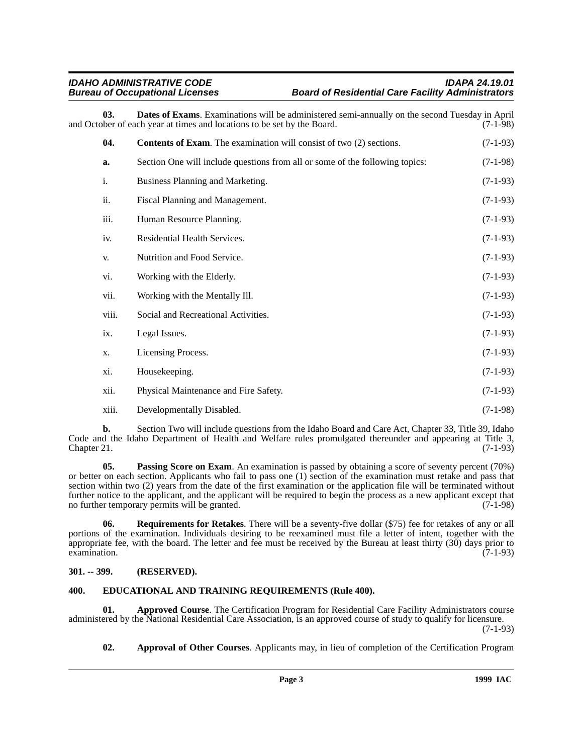# *IDAHO ADMINISTRATIVE CODE IDAPA 24.19.01* **Board of Residential Care Facility Administrators**

**03. Dates of Exams**. Examinations will be administered semi-annually on the second Tuesday in April ber of each vear at times and locations to be set by the Board. (7-1-98) and October of each year at times and locations to be set by the Board.

| 04.   | <b>Contents of Exam.</b> The examination will consist of two (2) sections.   | $(7-1-93)$ |
|-------|------------------------------------------------------------------------------|------------|
|       |                                                                              |            |
| a.    | Section One will include questions from all or some of the following topics: | $(7-1-98)$ |
| i.    | Business Planning and Marketing.                                             | $(7-1-93)$ |
| ii.   | Fiscal Planning and Management.                                              | $(7-1-93)$ |
| iii.  | Human Resource Planning.                                                     | $(7-1-93)$ |
| iv.   | Residential Health Services.                                                 | $(7-1-93)$ |
| V.    | Nutrition and Food Service.                                                  | $(7-1-93)$ |
| vi.   | Working with the Elderly.                                                    | $(7-1-93)$ |
| vii.  | Working with the Mentally Ill.                                               | $(7-1-93)$ |
| viii. | Social and Recreational Activities.                                          | $(7-1-93)$ |
| ix.   | Legal Issues.                                                                | $(7-1-93)$ |
| X.    | Licensing Process.                                                           | $(7-1-93)$ |
| xi.   | Housekeeping.                                                                | $(7-1-93)$ |
| xii.  | Physical Maintenance and Fire Safety.                                        | $(7-1-93)$ |
| xiii. | Developmentally Disabled.                                                    | $(7-1-98)$ |

**b.** Section Two will include questions from the Idaho Board and Care Act, Chapter 33, Title 39, Idaho Code and the Idaho Department of Health and Welfare rules promulgated thereunder and appearing at Title 3,<br>Chapter 21. (7-1-93)  $Chapter 21.$  (7-1-93)

**05. Passing Score on Exam**. An examination is passed by obtaining a score of seventy percent (70%) or better on each section. Applicants who fail to pass one (1) section of the examination must retake and pass that section within two (2) years from the date of the first examination or the application file will be terminated without further notice to the applicant, and the applicant will be required to begin the process as a new applicant except that no further temporary permits will be granted. (7-1-98) no further temporary permits will be granted.

**06. Requirements for Retakes**. There will be a seventy-five dollar (\$75) fee for retakes of any or all portions of the examination. Individuals desiring to be reexamined must file a letter of intent, together with the appropriate fee, with the board. The letter and fee must be received by the Bureau at least thirty  $(30)$  days prior to examination.  $\alpha$  examination. (7-1-93)

# <span id="page-2-0"></span>**301. -- 399. (RESERVED).**

# <span id="page-2-1"></span>**400. EDUCATIONAL AND TRAINING REQUIREMENTS (Rule 400).**

**01. Approved Course**. The Certification Program for Residential Care Facility Administrators course administered by the National Residential Care Association, is an approved course of study to qualify for licensure. (7-1-93)

**02. Approval of Other Courses**. Applicants may, in lieu of completion of the Certification Program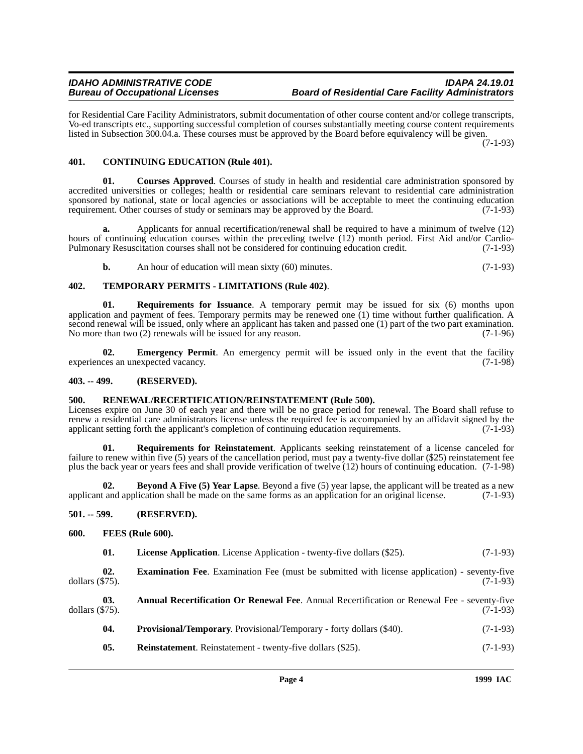for Residential Care Facility Administrators, submit documentation of other course content and/or college transcripts, Vo-ed transcripts etc., supporting successful completion of courses substantially meeting course content requirements listed in Subsection 300.04.a. These courses must be approved by the Board before equivalency will be given.

(7-1-93)

# <span id="page-3-0"></span>**401. CONTINUING EDUCATION (Rule 401).**

**01. Courses Approved**. Courses of study in health and residential care administration sponsored by accredited universities or colleges; health or residential care seminars relevant to residential care administration sponsored by national, state or local agencies or associations will be acceptable to meet the continuing education requirement. Other courses of study or seminars may be approved by the Board.  $(7-1-93)$ 

**a.** Applicants for annual recertification/renewal shall be required to have a minimum of twelve (12) hours of continuing education courses within the preceding twelve (12) month period. First Aid and/or Cardio-Pulmonary Resuscitation courses shall not be considered for continuing education credit. (7-1-93)

**b.** An hour of education will mean sixty (60) minutes. (7-1-93)

# **402. TEMPORARY PERMITS - LIMITATIONS (Rule 402)**.

**01. Requirements for Issuance**. A temporary permit may be issued for six (6) months upon application and payment of fees. Temporary permits may be renewed one (1) time without further qualification. A second renewal will be issued, only where an applicant has taken and passed one (1) part of the two part examination. No more than two (2) renewals will be issued for any reason. (7-1-96)

**02. Emergency Permit**. An emergency permit will be issued only in the event that the facility ces an unexpected vacancy. (7-1-98) experiences an unexpected vacancy.

# <span id="page-3-1"></span>**403. -- 499. (RESERVED).**

# <span id="page-3-2"></span>**500. RENEWAL/RECERTIFICATION/REINSTATEMENT (Rule 500).**

Licenses expire on June 30 of each year and there will be no grace period for renewal. The Board shall refuse to renew a residential care administrators license unless the required fee is accompanied by an affidavit signed by the applicant setting forth the applicant's completion of continuing education requirements. (7-1-93)

**01. Requirements for Reinstatement**. Applicants seeking reinstatement of a license canceled for failure to renew within five (5) years of the cancellation period, must pay a twenty-five dollar (\$25) reinstatement fee plus the back year or years fees and shall provide verification of twelve (12) hours of continuing education. (7-1-98)

**02. Beyond A Five (5) Year Lapse**. Beyond a five (5) year lapse, the applicant will be treated as a new tand application shall be made on the same forms as an application for an original license. (7-1-93) applicant and application shall be made on the same forms as an application for an original license.

# <span id="page-3-3"></span>**501. -- 599. (RESERVED).**

# <span id="page-3-4"></span>**600. FEES (Rule 600).**

| <b>License Application.</b> License Application - twenty-five dollars (\$25).<br>01. | $(7-1-93)$ |
|--------------------------------------------------------------------------------------|------------|
|--------------------------------------------------------------------------------------|------------|

**02. Examination Fee**. Examination Fee (must be submitted with license application) - seventy-five dollars (\$75). (7-1-93) dollars (\$75). (7-1-93)

|                    | <b>Annual Recertification Or Renewal Fee.</b> Annual Recertification or Renewal Fee - seventy-five |            |
|--------------------|----------------------------------------------------------------------------------------------------|------------|
| dollars $(\$75)$ . |                                                                                                    | $(7-1-93)$ |
|                    |                                                                                                    |            |

- **04. Provisional/Temporary**. Provisional/Temporary forty dollars (\$40). (7-1-93)
- **05.** Reinstatement. Reinstatement twenty-five dollars (\$25). (7-1-93)